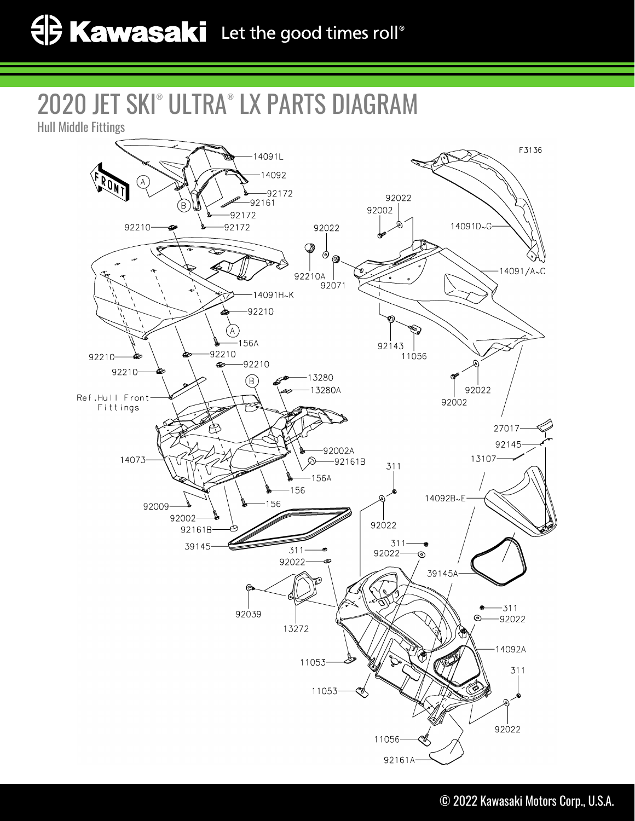## 2020 JET SKI® ULTRA® LX PARTS DIAGRAM

Hull Middle Fittings

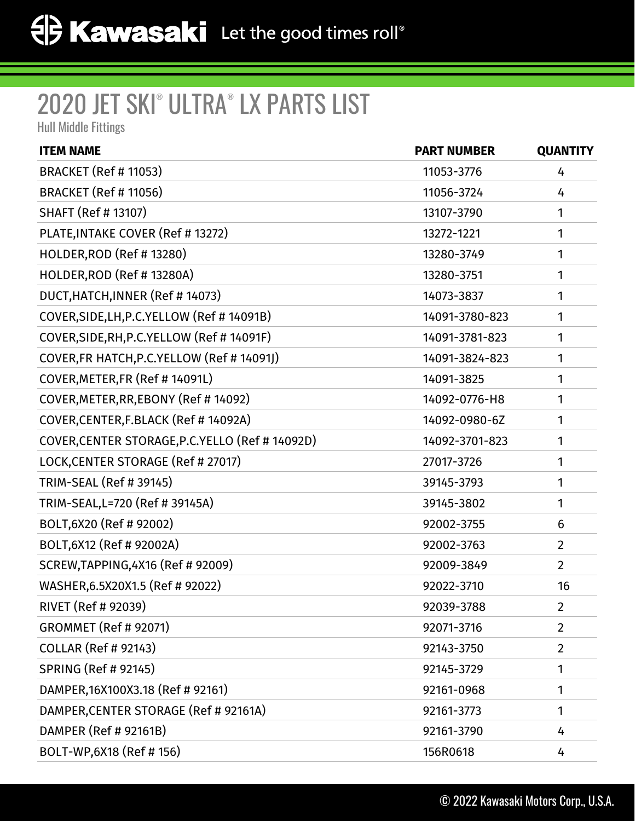## 2020 JET SKI® ULTRA® LX PARTS LIST

Hull Middle Fittings

| <b>ITEM NAME</b>                                 | <b>PART NUMBER</b> | <b>QUANTITY</b> |
|--------------------------------------------------|--------------------|-----------------|
| <b>BRACKET (Ref # 11053)</b>                     | 11053-3776         | 4               |
| <b>BRACKET (Ref # 11056)</b>                     | 11056-3724         | 4               |
| <b>SHAFT (Ref # 13107)</b>                       | 13107-3790         | 1               |
| PLATE, INTAKE COVER (Ref # 13272)                | 13272-1221         | 1               |
| <b>HOLDER, ROD (Ref #13280)</b>                  | 13280-3749         | 1               |
| HOLDER, ROD (Ref # 13280A)                       | 13280-3751         | 1               |
| DUCT, HATCH, INNER (Ref # 14073)                 | 14073-3837         | 1               |
| COVER, SIDE, LH, P.C. YELLOW (Ref # 14091B)      | 14091-3780-823     | 1               |
| COVER, SIDE, RH, P.C. YELLOW (Ref # 14091F)      | 14091-3781-823     | 1               |
| COVER, FR HATCH, P.C. YELLOW (Ref # 14091J)      | 14091-3824-823     | 1               |
| COVER, METER, FR (Ref # 14091L)                  | 14091-3825         | 1               |
| COVER, METER, RR, EBONY (Ref #14092)             | 14092-0776-H8      | 1               |
| COVER, CENTER, F.BLACK (Ref # 14092A)            | 14092-0980-6Z      | 1               |
| COVER, CENTER STORAGE, P.C. YELLO (Ref # 14092D) | 14092-3701-823     | 1               |
| LOCK, CENTER STORAGE (Ref # 27017)               | 27017-3726         | 1               |
| TRIM-SEAL (Ref # 39145)                          | 39145-3793         | 1               |
| TRIM-SEAL, L=720 (Ref # 39145A)                  | 39145-3802         | 1               |
| BOLT, 6X20 (Ref # 92002)                         | 92002-3755         | 6               |
| BOLT, 6X12 (Ref # 92002A)                        | 92002-3763         | $\overline{2}$  |
| SCREW, TAPPING, 4X16 (Ref # 92009)               | 92009-3849         | $\overline{2}$  |
| WASHER, 6.5X20X1.5 (Ref # 92022)                 | 92022-3710         | 16              |
| RIVET (Ref # 92039)                              | 92039-3788         | $\overline{2}$  |
| <b>GROMMET (Ref # 92071)</b>                     | 92071-3716         | $\overline{2}$  |
| <b>COLLAR (Ref # 92143)</b>                      | 92143-3750         | $\overline{2}$  |
| <b>SPRING (Ref # 92145)</b>                      | 92145-3729         | 1               |
| DAMPER, 16X100X3.18 (Ref # 92161)                | 92161-0968         | 1               |
| DAMPER, CENTER STORAGE (Ref # 92161A)            | 92161-3773         | 1               |
| DAMPER (Ref # 92161B)                            | 92161-3790         | 4               |
| BOLT-WP,6X18 (Ref # 156)                         | 156R0618           | 4               |